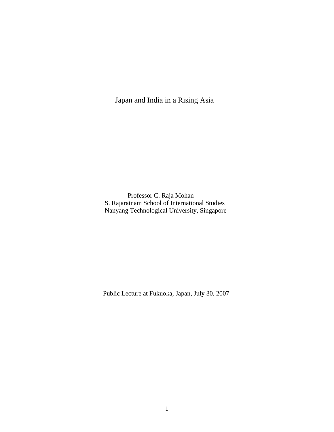Japan and India in a Rising Asia

 Professor C. Raja Mohan S. Rajaratnam School of International Studies Nanyang Technological University, Singapore

Public Lecture at Fukuoka, Japan, July 30, 2007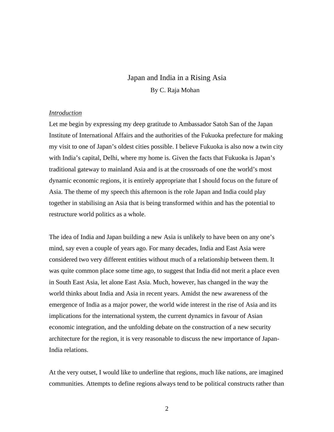# Japan and India in a Rising Asia By C. Raja Mohan

#### *Introduction*

Let me begin by expressing my deep gratitude to Ambassador Satoh San of the Japan Institute of International Affairs and the authorities of the Fukuoka prefecture for making my visit to one of Japan's oldest cities possible. I believe Fukuoka is also now a twin city with India's capital, Delhi, where my home is. Given the facts that Fukuoka is Japan's traditional gateway to mainland Asia and is at the crossroads of one the world's most dynamic economic regions, it is entirely appropriate that I should focus on the future of Asia. The theme of my speech this afternoon is the role Japan and India could play together in stabilising an Asia that is being transformed within and has the potential to restructure world politics as a whole.

The idea of India and Japan building a new Asia is unlikely to have been on any one's mind, say even a couple of years ago. For many decades, India and East Asia were considered two very different entities without much of a relationship between them. It was quite common place some time ago, to suggest that India did not merit a place even in South East Asia, let alone East Asia. Much, however, has changed in the way the world thinks about India and Asia in recent years. Amidst the new awareness of the emergence of India as a major power, the world wide interest in the rise of Asia and its implications for the international system, the current dynamics in favour of Asian economic integration, and the unfolding debate on the construction of a new security architecture for the region, it is very reasonable to discuss the new importance of Japan-India relations.

At the very outset, I would like to underline that regions, much like nations, are imagined communities. Attempts to define regions always tend to be political constructs rather than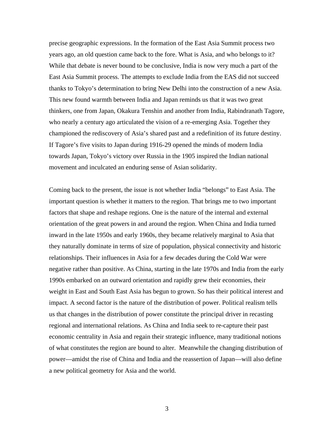precise geographic expressions. In the formation of the East Asia Summit process two years ago, an old question came back to the fore. What is Asia, and who belongs to it? While that debate is never bound to be conclusive, India is now very much a part of the East Asia Summit process. The attempts to exclude India from the EAS did not succeed thanks to Tokyo's determination to bring New Delhi into the construction of a new Asia. This new found warmth between India and Japan reminds us that it was two great thinkers, one from Japan, Okakura Tenshin and another from India, Rabindranath Tagore, who nearly a century ago articulated the vision of a re-emerging Asia. Together they championed the rediscovery of Asia's shared past and a redefinition of its future destiny. If Tagore's five visits to Japan during 1916-29 opened the minds of modern India towards Japan, Tokyo's victory over Russia in the 1905 inspired the Indian national movement and inculcated an enduring sense of Asian solidarity.

Coming back to the present, the issue is not whether India "belongs" to East Asia. The important question is whether it matters to the region. That brings me to two important factors that shape and reshape regions. One is the nature of the internal and external orientation of the great powers in and around the region. When China and India turned inward in the late 1950s and early 1960s, they became relatively marginal to Asia that they naturally dominate in terms of size of population, physical connectivity and historic relationships. Their influences in Asia for a few decades during the Cold War were negative rather than positive. As China, starting in the late 1970s and India from the early 1990s embarked on an outward orientation and rapidly grew their economies, their weight in East and South East Asia has begun to grown. So has their political interest and impact. A second factor is the nature of the distribution of power. Political realism tells us that changes in the distribution of power constitute the principal driver in recasting regional and international relations. As China and India seek to re-capture their past economic centrality in Asia and regain their strategic influence, many traditional notions of what constitutes the region are bound to alter. Meanwhile the changing distribution of power—amidst the rise of China and India and the reassertion of Japan—will also define a new political geometry for Asia and the world.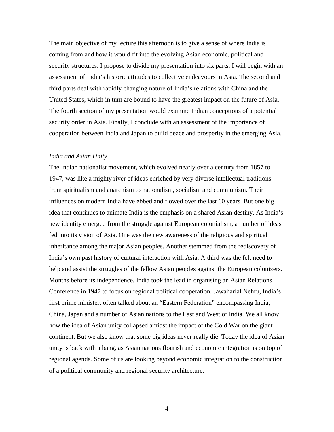The main objective of my lecture this afternoon is to give a sense of where India is coming from and how it would fit into the evolving Asian economic, political and security structures. I propose to divide my presentation into six parts. I will begin with an assessment of India's historic attitudes to collective endeavours in Asia. The second and third parts deal with rapidly changing nature of India's relations with China and the United States, which in turn are bound to have the greatest impact on the future of Asia. The fourth section of my presentation would examine Indian conceptions of a potential security order in Asia. Finally, I conclude with an assessment of the importance of cooperation between India and Japan to build peace and prosperity in the emerging Asia.

### *India and Asian Unity*

The Indian nationalist movement, which evolved nearly over a century from 1857 to 1947, was like a mighty river of ideas enriched by very diverse intellectual traditions from spiritualism and anarchism to nationalism, socialism and communism. Their influences on modern India have ebbed and flowed over the last 60 years. But one big idea that continues to animate India is the emphasis on a shared Asian destiny. As India's new identity emerged from the struggle against European colonialism, a number of ideas fed into its vision of Asia. One was the new awareness of the religious and spiritual inheritance among the major Asian peoples. Another stemmed from the rediscovery of India's own past history of cultural interaction with Asia. A third was the felt need to help and assist the struggles of the fellow Asian peoples against the European colonizers. Months before its independence, India took the lead in organising an Asian Relations Conference in 1947 to focus on regional political cooperation. Jawaharlal Nehru, India's first prime minister, often talked about an "Eastern Federation" encompassing India, China, Japan and a number of Asian nations to the East and West of India. We all know how the idea of Asian unity collapsed amidst the impact of the Cold War on the giant continent. But we also know that some big ideas never really die. Today the idea of Asian unity is back with a bang, as Asian nations flourish and economic integration is on top of regional agenda. Some of us are looking beyond economic integration to the construction of a political community and regional security architecture.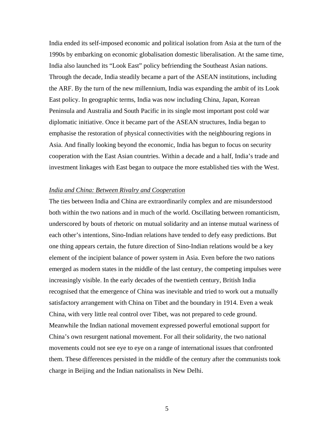India ended its self-imposed economic and political isolation from Asia at the turn of the 1990s by embarking on economic globalisation domestic liberalisation. At the same time, India also launched its "Look East" policy befriending the Southeast Asian nations. Through the decade, India steadily became a part of the ASEAN institutions, including the ARF. By the turn of the new millennium, India was expanding the ambit of its Look East policy. In geographic terms, India was now including China, Japan, Korean Peninsula and Australia and South Pacific in its single most important post cold war diplomatic initiative. Once it became part of the ASEAN structures, India began to emphasise the restoration of physical connectivities with the neighbouring regions in Asia. And finally looking beyond the economic, India has begun to focus on security cooperation with the East Asian countries. Within a decade and a half, India's trade and investment linkages with East began to outpace the more established ties with the West.

#### *India and China: Between Rivalry and Cooperation*

The ties between India and China are extraordinarily complex and are misunderstood both within the two nations and in much of the world. Oscillating between romanticism, underscored by bouts of rhetoric on mutual solidarity and an intense mutual wariness of each other's intentions, Sino-Indian relations have tended to defy easy predictions. But one thing appears certain, the future direction of Sino-Indian relations would be a key element of the incipient balance of power system in Asia. Even before the two nations emerged as modern states in the middle of the last century, the competing impulses were increasingly visible. In the early decades of the twentieth century, British India recognised that the emergence of China was inevitable and tried to work out a mutually satisfactory arrangement with China on Tibet and the boundary in 1914. Even a weak China, with very little real control over Tibet, was not prepared to cede ground. Meanwhile the Indian national movement expressed powerful emotional support for China's own resurgent national movement. For all their solidarity, the two national movements could not see eye to eye on a range of international issues that confronted them. These differences persisted in the middle of the century after the communists took charge in Beijing and the Indian nationalists in New Delhi.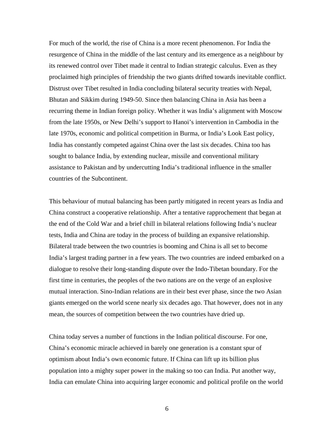For much of the world, the rise of China is a more recent phenomenon. For India the resurgence of China in the middle of the last century and its emergence as a neighbour by its renewed control over Tibet made it central to Indian strategic calculus. Even as they proclaimed high principles of friendship the two giants drifted towards inevitable conflict. Distrust over Tibet resulted in India concluding bilateral security treaties with Nepal, Bhutan and Sikkim during 1949-50. Since then balancing China in Asia has been a recurring theme in Indian foreign policy. Whether it was India's alignment with Moscow from the late 1950s, or New Delhi's support to Hanoi's intervention in Cambodia in the late 1970s, economic and political competition in Burma, or India's Look East policy, India has constantly competed against China over the last six decades. China too has sought to balance India, by extending nuclear, missile and conventional military assistance to Pakistan and by undercutting India's traditional influence in the smaller countries of the Subcontinent.

This behaviour of mutual balancing has been partly mitigated in recent years as India and China construct a cooperative relationship. After a tentative rapprochement that began at the end of the Cold War and a brief chill in bilateral relations following India's nuclear tests, India and China are today in the process of building an expansive relationship. Bilateral trade between the two countries is booming and China is all set to become India's largest trading partner in a few years. The two countries are indeed embarked on a dialogue to resolve their long-standing dispute over the Indo-Tibetan boundary. For the first time in centuries, the peoples of the two nations are on the verge of an explosive mutual interaction. Sino-Indian relations are in their best ever phase, since the two Asian giants emerged on the world scene nearly six decades ago. That however, does not in any mean, the sources of competition between the two countries have dried up.

China today serves a number of functions in the Indian political discourse. For one, China's economic miracle achieved in barely one generation is a constant spur of optimism about India's own economic future. If China can lift up its billion plus population into a mighty super power in the making so too can India. Put another way, India can emulate China into acquiring larger economic and political profile on the world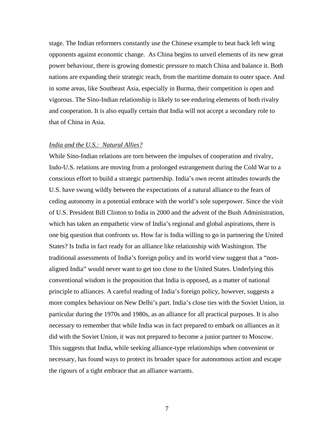stage. The Indian reformers constantly use the Chinese example to beat back left wing opponents against economic change. As China begins to unveil elements of its new great power behaviour, there is growing domestic pressure to match China and balance it. Both nations are expanding their strategic reach, from the maritime domain to outer space. And in some areas, like Southeast Asia, especially in Burma, their competition is open and vigorous. The Sino-Indian relationship is likely to see enduring elements of both rivalry and cooperation. It is also equally certain that India will not accept a secondary role to that of China in Asia.

#### *India and the U.S.: Natural Allies?*

While Sino-Indian relations are torn between the impulses of cooperation and rivalry, Indo-U.S. relations are moving from a prolonged estrangement during the Cold War to a conscious effort to build a strategic partnership. India's own recent attitudes towards the U.S. have swung wildly between the expectations of a natural alliance to the fears of ceding autonomy in a potential embrace with the world's sole superpower. Since the visit of U.S. President Bill Clinton to India in 2000 and the advent of the Bush Administration, which has taken an empathetic view of India's regional and global aspirations, there is one big question that confronts us. How far is India willing to go in partnering the United States? Is India in fact ready for an alliance like relationship with Washington. The traditional assessments of India's foreign policy and its world view suggest that a "nonaligned India" would never want to get too close to the United States. Underlying this conventional wisdom is the proposition that India is opposed, as a matter of national principle to alliances. A careful reading of India's foreign policy, however, suggests a more complex behaviour on New Delhi's part. India's close ties with the Soviet Union, in particular during the 1970s and 1980s, as an alliance for all practical purposes. It is also necessary to remember that while India was in fact prepared to embark on alliances as it did with the Soviet Union, it was not prepared to become a junior partner to Moscow. This suggests that India, while seeking alliance-type relationships when convenient or necessary, has found ways to protect its broader space for autonomous action and escape the rigours of a tight embrace that an alliance warrants.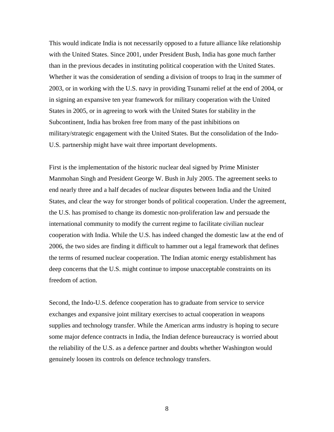This would indicate India is not necessarily opposed to a future alliance like relationship with the United States. Since 2001, under President Bush, India has gone much farther than in the previous decades in instituting political cooperation with the United States. Whether it was the consideration of sending a division of troops to Iraq in the summer of 2003, or in working with the U.S. navy in providing Tsunami relief at the end of 2004, or in signing an expansive ten year framework for military cooperation with the United States in 2005, or in agreeing to work with the United States for stability in the Subcontinent, India has broken free from many of the past inhibitions on military/strategic engagement with the United States. But the consolidation of the Indo-U.S. partnership might have wait three important developments.

First is the implementation of the historic nuclear deal signed by Prime Minister Manmohan Singh and President George W. Bush in July 2005. The agreement seeks to end nearly three and a half decades of nuclear disputes between India and the United States, and clear the way for stronger bonds of political cooperation. Under the agreement, the U.S. has promised to change its domestic non-proliferation law and persuade the international community to modify the current regime to facilitate civilian nuclear cooperation with India. While the U.S. has indeed changed the domestic law at the end of 2006, the two sides are finding it difficult to hammer out a legal framework that defines the terms of resumed nuclear cooperation. The Indian atomic energy establishment has deep concerns that the U.S. might continue to impose unacceptable constraints on its freedom of action.

Second, the Indo-U.S. defence cooperation has to graduate from service to service exchanges and expansive joint military exercises to actual cooperation in weapons supplies and technology transfer. While the American arms industry is hoping to secure some major defence contracts in India, the Indian defence bureaucracy is worried about the reliability of the U.S. as a defence partner and doubts whether Washington would genuinely loosen its controls on defence technology transfers.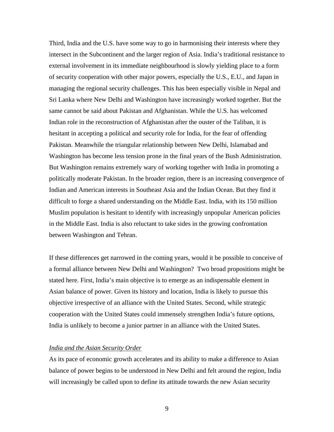Third, India and the U.S. have some way to go in harmonising their interests where they intersect in the Subcontinent and the larger region of Asia. India's traditional resistance to external involvement in its immediate neighbourhood is slowly yielding place to a form of security cooperation with other major powers, especially the U.S., E.U., and Japan in managing the regional security challenges. This has been especially visible in Nepal and Sri Lanka where New Delhi and Washington have increasingly worked together. But the same cannot be said about Pakistan and Afghanistan. While the U.S. has welcomed Indian role in the reconstruction of Afghanistan after the ouster of the Taliban, it is hesitant in accepting a political and security role for India, for the fear of offending Pakistan. Meanwhile the triangular relationship between New Delhi, Islamabad and Washington has become less tension prone in the final years of the Bush Administration. But Washington remains extremely wary of working together with India in promoting a politically moderate Pakistan. In the broader region, there is an increasing convergence of Indian and American interests in Southeast Asia and the Indian Ocean. But they find it difficult to forge a shared understanding on the Middle East. India, with its 150 million Muslim population is hesitant to identify with increasingly unpopular American policies in the Middle East. India is also reluctant to take sides in the growing confrontation between Washington and Tehran.

If these differences get narrowed in the coming years, would it be possible to conceive of a formal alliance between New Delhi and Washington? Two broad propositions might be stated here. First, India's main objective is to emerge as an indispensable element in Asian balance of power. Given its history and location, India is likely to pursue this objective irrespective of an alliance with the United States. Second, while strategic cooperation with the United States could immensely strengthen India's future options, India is unlikely to become a junior partner in an alliance with the United States.

# *India and the Asian Security Order*

As its pace of economic growth accelerates and its ability to make a difference to Asian balance of power begins to be understood in New Delhi and felt around the region, India will increasingly be called upon to define its attitude towards the new Asian security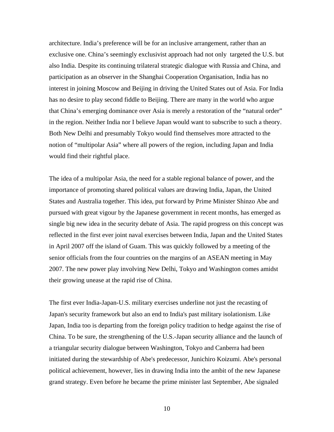architecture. India's preference will be for an inclusive arrangement, rather than an exclusive one. China's seemingly exclusivist approach had not only targeted the U.S. but also India. Despite its continuing trilateral strategic dialogue with Russia and China, and participation as an observer in the Shanghai Cooperation Organisation, India has no interest in joining Moscow and Beijing in driving the United States out of Asia. For India has no desire to play second fiddle to Beijing. There are many in the world who argue that China's emerging dominance over Asia is merely a restoration of the "natural order" in the region. Neither India nor I believe Japan would want to subscribe to such a theory. Both New Delhi and presumably Tokyo would find themselves more attracted to the notion of "multipolar Asia" where all powers of the region, including Japan and India would find their rightful place.

The idea of a multipolar Asia, the need for a stable regional balance of power, and the importance of promoting shared political values are drawing India, Japan, the United States and Australia together. This idea, put forward by Prime Minister Shinzo Abe and pursued with great vigour by the Japanese government in recent months, has emerged as single big new idea in the security debate of Asia. The rapid progress on this concept was reflected in the first ever joint naval exercises between India, Japan and the United States in April 2007 off the island of Guam. This was quickly followed by a meeting of the senior officials from the four countries on the margins of an ASEAN meeting in May 2007. The new power play involving New Delhi, Tokyo and Washington comes amidst their growing unease at the rapid rise of China.

The first ever India-Japan-U.S. military exercises underline not just the recasting of Japan's security framework but also an end to India's past military isolationism. Like Japan, India too is departing from the foreign policy tradition to hedge against the rise of China. To be sure, the strengthening of the U.S.-Japan security alliance and the launch of a triangular security dialogue between Washington, Tokyo and Canberra had been initiated during the stewardship of Abe's predecessor, Junichiro Koizumi. Abe's personal political achievement, however, lies in drawing India into the ambit of the new Japanese grand strategy. Even before he became the prime minister last September, Abe signaled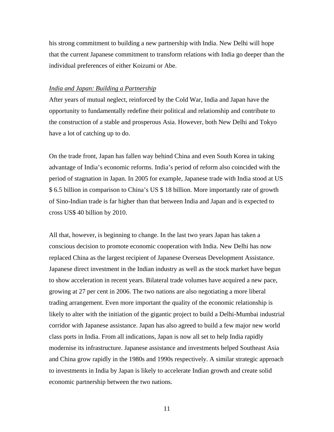his strong commitment to building a new partnership with India. New Delhi will hope that the current Japanese commitment to transform relations with India go deeper than the individual preferences of either Koizumi or Abe.

## *India and Japan: Building a Partnership*

After years of mutual neglect, reinforced by the Cold War, India and Japan have the opportunity to fundamentally redefine their political and relationship and contribute to the construction of a stable and prosperous Asia. However, both New Delhi and Tokyo have a lot of catching up to do.

On the trade front, Japan has fallen way behind China and even South Korea in taking advantage of India's economic reforms. India's period of reform also coincided with the period of stagnation in Japan. In 2005 for example, Japanese trade with India stood at US \$ 6.5 billion in comparison to China's US \$ 18 billion. More importantly rate of growth of Sino-Indian trade is far higher than that between India and Japan and is expected to cross US\$ 40 billion by 2010.

All that, however, is beginning to change. In the last two years Japan has taken a conscious decision to promote economic cooperation with India. New Delhi has now replaced China as the largest recipient of Japanese Overseas Development Assistance. Japanese direct investment in the Indian industry as well as the stock market have begun to show acceleration in recent years. Bilateral trade volumes have acquired a new pace, growing at 27 per cent in 2006. The two nations are also negotiating a more liberal trading arrangement. Even more important the quality of the economic relationship is likely to alter with the initiation of the gigantic project to build a Delhi-Mumbai industrial corridor with Japanese assistance. Japan has also agreed to build a few major new world class ports in India. From all indications, Japan is now all set to help India rapidly modernise its infrastructure. Japanese assistance and investments helped Southeast Asia and China grow rapidly in the 1980s and 1990s respectively. A similar strategic approach to investments in India by Japan is likely to accelerate Indian growth and create solid economic partnership between the two nations.